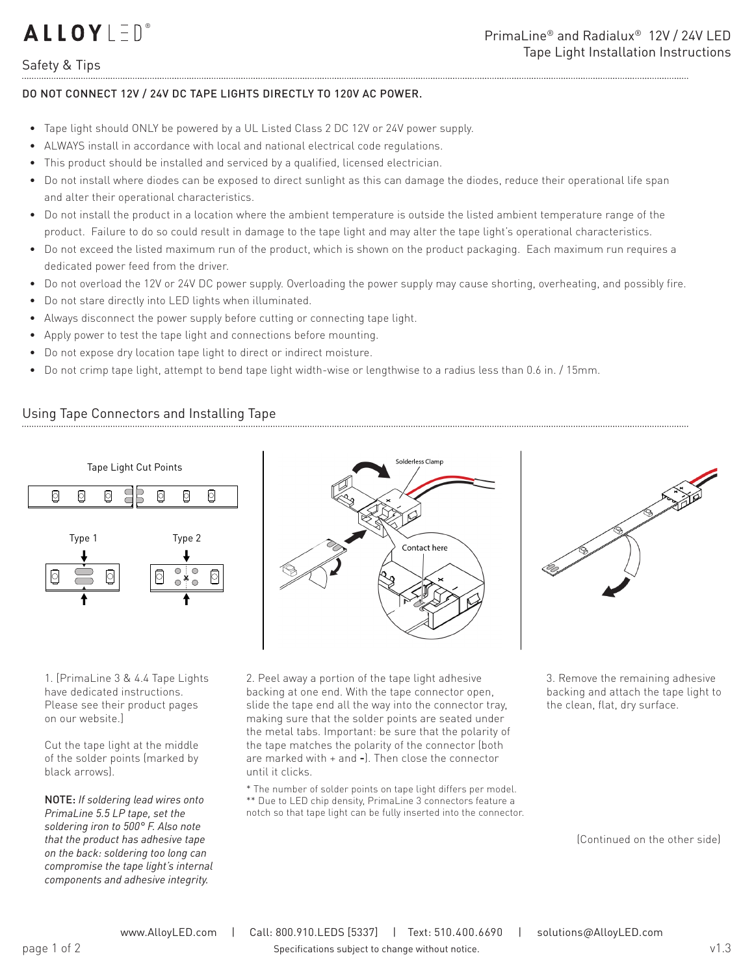# **ALLOYLED**®

### Safety & Tips

#### DO NOT CONNECT 12V / 24V DC TAPE LIGHTS DIRECTLY TO 120V AC POWER.

- Tape light should ONLY be powered by a UL Listed Class 2 DC 12V or 24V power supply.
- ALWAYS install in accordance with local and national electrical code regulations.
- This product should be installed and serviced by a qualified, licensed electrician.
- Do not install where diodes can be exposed to direct sunlight as this can damage the diodes, reduce their operational life span and alter their operational characteristics.
- Do not install the product in a location where the ambient temperature is outside the listed ambient temperature range of the product. Failure to do so could result in damage to the tape light and may alter the tape light's operational characteristics.
- Do not exceed the listed maximum run of the product, which is shown on the product packaging. Each maximum run requires a dedicated power feed from the driver.
- Do not overload the 12V or 24V DC power supply. Overloading the power supply may cause shorting, overheating, and possibly fire.
- Do not stare directly into LED lights when illuminated.
- Always disconnect the power supply before cutting or connecting tape light.
- Apply power to test the tape light and connections before mounting.
- Do not expose dry location tape light to direct or indirect moisture.
- Do not crimp tape light, attempt to bend tape light width-wise or lengthwise to a radius less than 0.6 in. / 15mm.

### Using Tape Connectors and Installing Tape



1. [PrimaLine 3 & 4.4 Tape Lights have dedicated instructions. Please see their product pages on our website.]

Cut the tape light at the middle of the solder points (marked by black arrows).

NOTE: *If soldering lead wires onto PrimaLine 5.5 LP tape, set the soldering iron to 500° F. Also note that the product has adhesive tape on the back: soldering too long can compromise the tape light's internal components and adhesive integrity.*



2. Peel away a portion of the tape light adhesive backing at one end. With the tape connector open, slide the tape end all the way into the connector tray, making sure that the solder points are seated under the metal tabs. Important: be sure that the polarity of the tape matches the polarity of the connector (both are marked with + and **-**). Then close the connector until it clicks.

\* The number of solder points on tape light differs per model. \*\* Due to LED chip density, PrimaLine 3 connectors feature a notch so that tape light can be fully inserted into the connector. 3. Remove the remaining adhesive backing and attach the tape light to the clean, flat, dry surface.

(Continued on the other side)